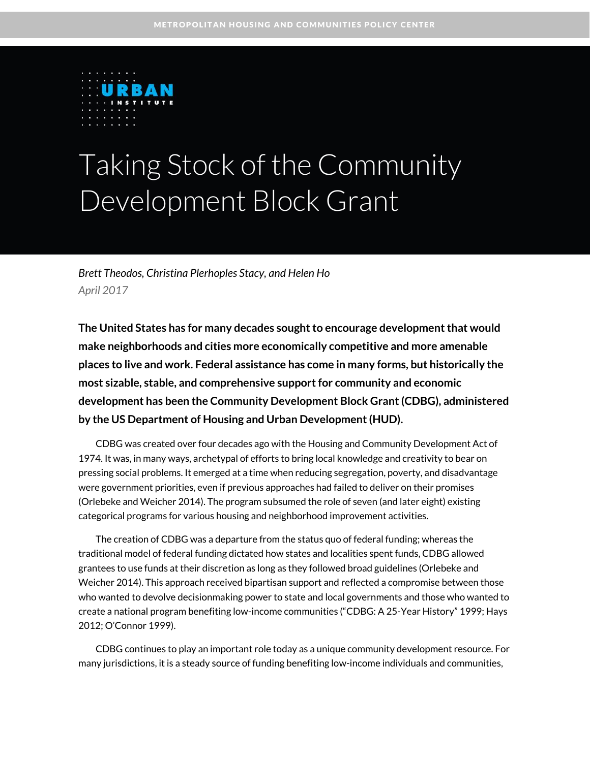

# Taking Stock of the Community Development Block Grant

*Brett Theodos, Christina Plerhoples Stacy, and Helen Ho April 2017*

**The United States has for many decades sought to encourage development that would make neighborhoods and cities more economically competitive and more amenable places to live and work. Federal assistance has come in many forms, but historically the most sizable, stable, and comprehensive support for community and economic development has been the Community Development Block Grant (CDBG), administered by the US Department of Housing and Urban Development (HUD).**

CDBG was created over four decades ago with the Housing and Community Development Act of 1974. It was, in many ways, archetypal of efforts to bring local knowledge and creativity to bear on pressing social problems. It emerged at a time when reducing segregation, poverty, and disadvantage were government priorities, even if previous approaches had failed to deliver on their promises (Orlebeke and Weicher 2014). The program subsumed the role of seven (and later eight) existing categorical programs for various housing and neighborhood improvement activities.

The creation of CDBG was a departure from the status quo of federal funding; whereas the traditional model of federal funding dictated how states and localities spent funds, CDBG allowed grantees to use funds at their discretion as long as they followed broad guidelines (Orlebeke and Weicher 2014). This approach received bipartisan support and reflected a compromise between those who wanted to devolve decisionmaking power to state and local governments and those who wanted to create a national program benefiting low-income communities ("CDBG: A 25-Year History" 1999; Hays 2012; O'Connor 1999).

CDBG continues to play an important role today as a unique community development resource. For many jurisdictions, it is a steady source of funding benefiting low-income individuals and communities,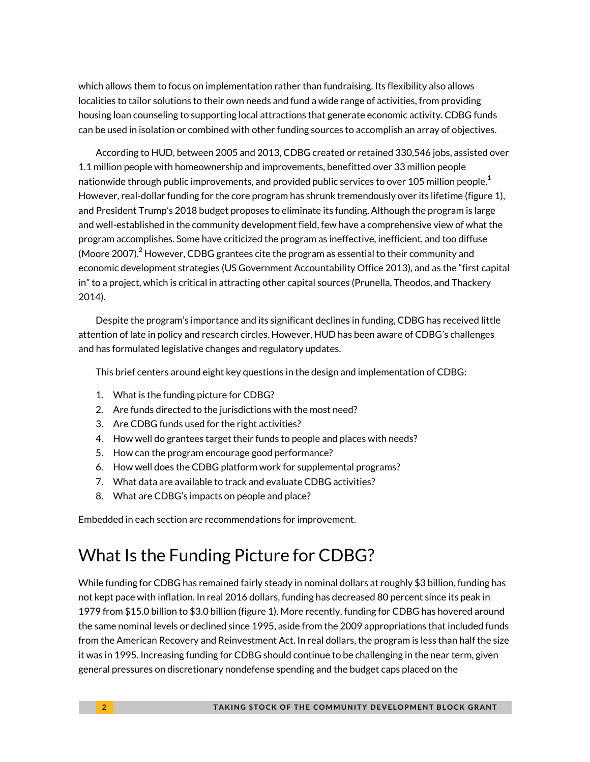which allows them to focus on implementation rather than fundraising. Its flexibility also allows localities to tailor solutions to their own needs and fund a wide range of activities, from providing housing loan counseling to supporting local attractions that generate economic activity. CDBG funds can be used in isolation or combined with other funding sources to accomplish an array of objectives.

According to HUD, between 2005 and 2013, CDBG created or retained 330,546 jobs, assisted over 1.1 million people with homeownership and improvements, benefitted over 33 million people nationwide through public improvements, and provided public services to over [1](#page-14-0)05 million people. $^{\rm 1}$ However, real-dollar funding for the core program has shrunk tremendously over its lifetime (figure 1), and President Trump's 2018 budget proposes to eliminate its funding. Although the program is large and well-established in the community development field, few have a comprehensive view of what the program accomplishes. Some have criticized the program as ineffective, inefficient, and too diffuse (Moore [2](#page-14-1)007). $^2$  However, CDBG grantees cite the program as essential to their community and economic development strategies (US Government Accountability Office 2013), and as the "first capital in" to a project, which is critical in attracting other capital sources (Prunella, Theodos, and Thackery 2014).

Despite the program's importance and its significant declines in funding, CDBG has received little attention of late in policy and research circles. However, HUD has been aware of CDBG's challenges and has formulated legislative changes and regulatory updates.

This brief centers around eight key questions in the design and implementation of CDBG:

- 1. What is the funding picture for CDBG?
- 2. Are funds directed to the jurisdictions with the most need?
- 3. Are CDBG funds used for the right activities?
- 4. How well do grantees target their funds to people and places with needs?
- 5. How can the program encourage good performance?
- 6. How well does the CDBG platform work for supplemental programs?
- 7. What data are available to track and evaluate CDBG activities?
- 8. What are CDBG's impacts on people and place?

Embedded in each section are recommendations for improvement.

### What Is the Funding Picture for CDBG?

While funding for CDBG has remained fairly steady in nominal dollars at roughly \$3 billion, funding has not kept pace with inflation. In real 2016 dollars, funding has decreased 80 percent since its peak in 1979 from \$15.0 billion to \$3.0 billion (figure 1). More recently, funding for CDBG has hovered around the same nominal levels or declined since 1995, aside from the 2009 appropriations that included funds from the American Recovery and Reinvestment Act. In real dollars, the program is less than half the size it was in 1995. Increasing funding for CDBG should continue to be challenging in the near term, given general pressures on discretionary nondefense spending and the budget caps placed on the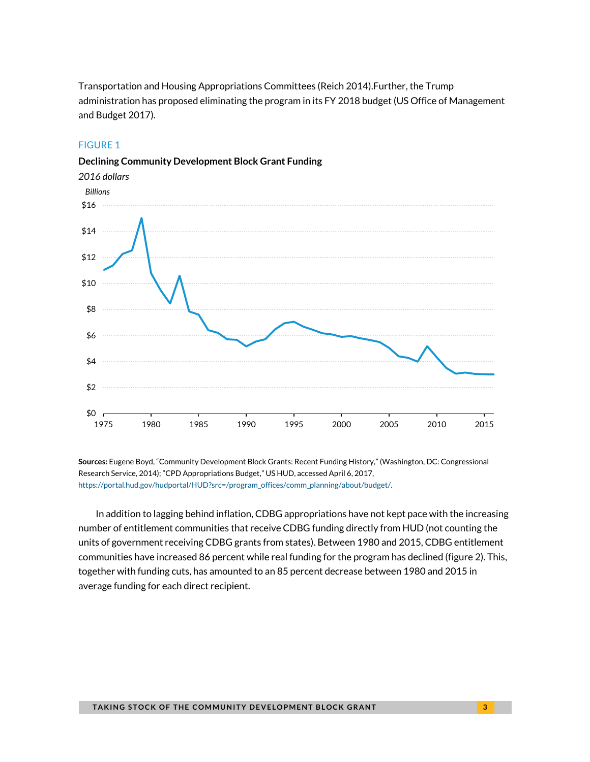Transportation and Housing Appropriations Committees (Reich 2014).Further, the Trump administration has proposed eliminating the program in its FY 2018 budget (US Office of Management and Budget 2017).

#### FIGURE 1





**Sources:** Eugene Boyd, "Community Development Block Grants: Recent Funding History," (Washington, DC: Congressional Research Service, 2014); "CPD Appropriations Budget," US HUD, accessed April 6, 2017, [https://portal.hud.gov/hudportal/HUD?src=/program\\_offices/comm\\_planning/about/budget/.](https://portal.hud.gov/hudportal/HUD?src=/program_offices/comm_planning/about/budget/)

In addition to lagging behind inflation, CDBG appropriations have not kept pace with the increasing number of entitlement communities that receive CDBG funding directly from HUD (not counting the units of government receiving CDBG grants from states). Between 1980 and 2015, CDBG entitlement communities have increased 86 percent while real funding for the program has declined (figure 2). This, together with funding cuts, has amounted to an 85 percent decrease between 1980 and 2015 in average funding for each direct recipient.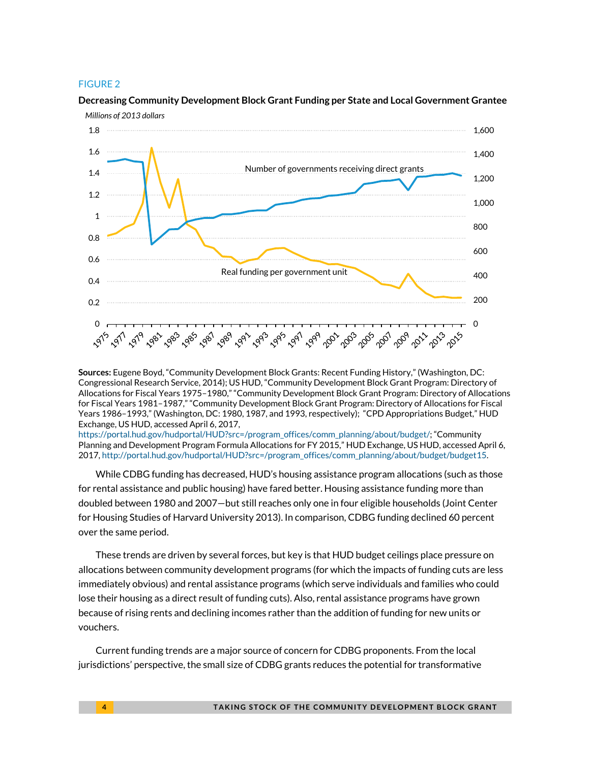#### FIGURE 2



### **Decreasing Community Development Block Grant Funding per State and Local Government Grantee**

**Sources:** Eugene Boyd, "Community Development Block Grants: Recent Funding History," (Washington, DC: Congressional Research Service, 2014); US HUD, "Community Development Block Grant Program: Directory of Allocations for Fiscal Years 1975–1980," "Community Development Block Grant Program: Directory of Allocations for Fiscal Years 1981–1987," "Community Development Block Grant Program: Directory of Allocations for Fiscal Years 1986–1993," (Washington, DC: 1980, 1987, and 1993, respectively); "CPD Appropriations Budget," HUD Exchange, US HUD, accessed April 6, 2017,

[https://portal.hud.gov/hudportal/HUD?src=/program\\_offices/comm\\_planning/about/budget/;](https://portal.hud.gov/hudportal/HUD?src=/program_offices/comm_planning/about/budget/) "Community Planning and Development Program Formula Allocations for FY 2015," HUD Exchange, US HUD, accessed April 6, 2017, [http://portal.hud.gov/hudportal/HUD?src=/program\\_offices/comm\\_planning/about/budget/budget15.](http://portal.hud.gov/hudportal/HUD?src=/program_offices/comm_planning/about/budget/budget15)

While CDBG funding has decreased, HUD's housing assistance program allocations (such as those for rental assistance and public housing) have fared better. Housing assistance funding more than doubled between 1980 and 2007—but still reaches only one in four eligible households (Joint Center for Housing Studies of Harvard University 2013). In comparison, CDBG funding declined 60 percent over the same period.

These trends are driven by several forces, but key is that HUD budget ceilings place pressure on allocations between community development programs (for which the impacts of funding cuts are less immediately obvious) and rental assistance programs (which serve individuals and families who could lose their housing as a direct result of funding cuts). Also, rental assistance programs have grown because of rising rents and declining incomes rather than the addition of funding for new units or vouchers.

Current funding trends are a major source of concern for CDBG proponents. From the local jurisdictions' perspective, the small size of CDBG grants reduces the potential for transformative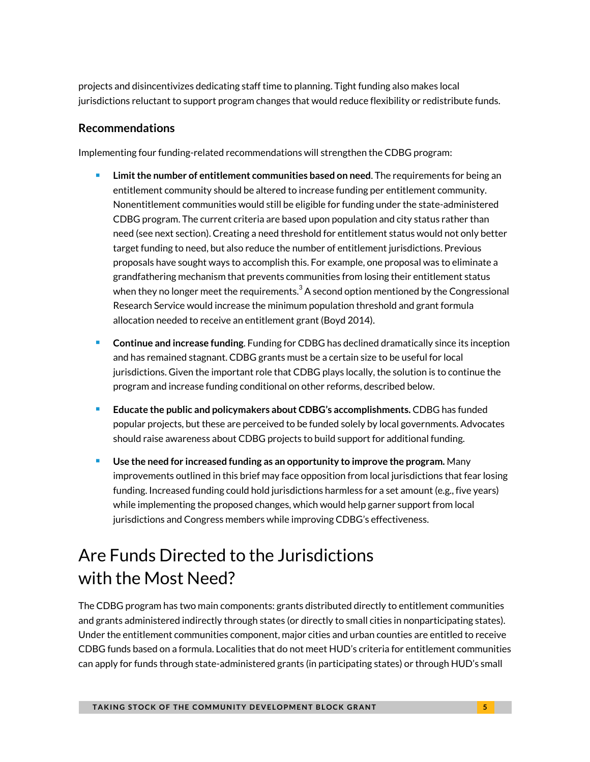projects and disincentivizes dedicating staff time to planning. Tight funding also makes local jurisdictions reluctant to support program changes that would reduce flexibility or redistribute funds.

### **Recommendations**

Implementing four funding-related recommendations will strengthen the CDBG program:

- **Limit the number of entitlement communities based on need**. The requirements for being an entitlement community should be altered to increase funding per entitlement community. Nonentitlement communities would still be eligible for funding under the state-administered CDBG program. The current criteria are based upon population and city status rather than need (see next section). Creating a need threshold for entitlement status would not only better target funding to need, but also reduce the number of entitlement jurisdictions. Previous proposals have sought ways to accomplish this. For example, one proposal was to eliminate a grandfathering mechanism that prevents communities from losing their entitlement status when they no longer meet the requirements.<sup>[3](#page-14-2)</sup> A second option mentioned by the Congressional Research Service would increase the minimum population threshold and grant formula allocation needed to receive an entitlement grant (Boyd 2014).
- **Continue and increase funding**. Funding for CDBG has declined dramatically since its inception and has remained stagnant. CDBG grants must be a certain size to be useful for local jurisdictions. Given the important role that CDBG plays locally, the solution is to continue the program and increase funding conditional on other reforms, described below.
- **Educate the public and policymakers about CDBG's accomplishments. CDBG has funded <b>Fig. 3.** popular projects, but these are perceived to be funded solely by local governments. Advocates should raise awareness about CDBG projects to build support for additional funding.
- **Use the need for increased funding as an opportunity to improve the program.** Many improvements outlined in this brief may face opposition from local jurisdictions that fear losing funding. Increased funding could hold jurisdictions harmless for a set amount (e.g., five years) while implementing the proposed changes, which would help garner support from local jurisdictions and Congress members while improving CDBG's effectiveness.

# Are Funds Directed to the Jurisdictions with the Most Need?

The CDBG program has two main components: grants distributed directly to entitlement communities and grants administered indirectly through states (or directly to small cities in nonparticipating states). Under the entitlement communities component, major cities and urban counties are entitled to receive CDBG funds based on a formula. Localities that do not meet HUD's criteria for entitlement communities can apply for funds through state-administered grants (in participating states) or through HUD's small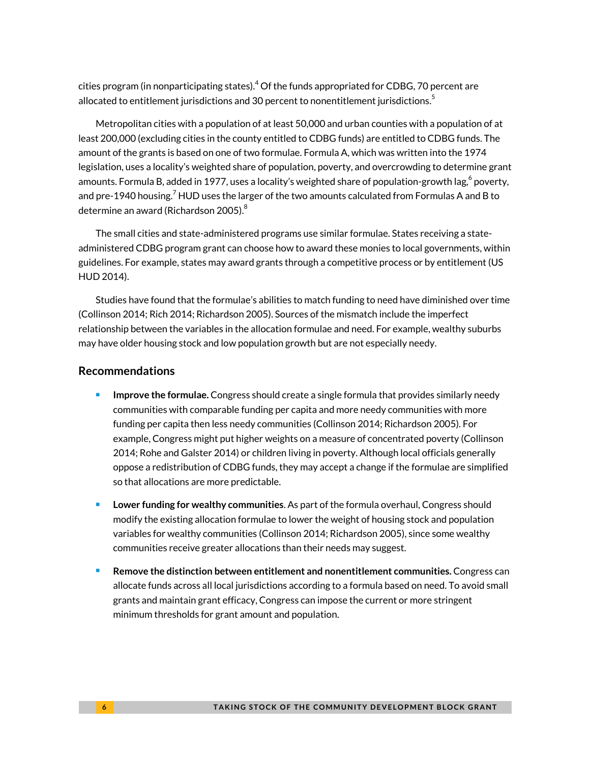cities program (in nonparticipating states[\).](#page-14-3) <sup>4</sup> Of the funds appropriated for CDBG, 70 percent are allocated to entitlement jurisdictions and 30 percent to nonentitlement jurisdictions.<sup>[5](#page-14-4)</sup>

Metropolitan cities with a population of at least 50,000 and urban counties with a population of at least 200,000 (excluding cities in the county entitled to CDBG funds) are entitled to CDBG funds. The amount of the grants is based on one of two formulae. Formula A, which was written into the 1974 legislation, uses a locality's weighted share of population, poverty, and overcrowding to determine grant amounts. Formula B, added in 1977, uses a locality's weighted share of population-growth lag, $^6$  $^6$  poverty, and pre-1940 housing.<sup>[7](#page-14-6)</sup> HUD uses the larger of the two amounts calculated from Formulas A and B to determine an award (Richardson 2005). $^8$  $^8$ 

The small cities and state-administered programs use similar formulae. States receiving a stateadministered CDBG program grant can choose how to award these monies to local governments, within guidelines. For example, states may award grants through a competitive process or by entitlement (US HUD 2014).

Studies have found that the formulae's abilities to match funding to need have diminished over time (Collinson 2014; Rich 2014; Richardson 2005). Sources of the mismatch include the imperfect relationship between the variables in the allocation formulae and need. For example, wealthy suburbs may have older housing stock and low population growth but are not especially needy.

#### **Recommendations**

- **Improve the formulae.** Congress should create a single formula that provides similarly needy communities with comparable funding per capita and more needy communities with more funding per capita then less needy communities (Collinson 2014; Richardson 2005). For example, Congress might put higher weights on a measure of concentrated poverty (Collinson 2014; Rohe and Galster 2014) or children living in poverty. Although local officials generally oppose a redistribution of CDBG funds, they may accept a change if the formulae are simplified so that allocations are more predictable.
- **Lower funding for wealthy communities**. As part of the formula overhaul, Congress should modify the existing allocation formulae to lower the weight of housing stock and population variables for wealthy communities (Collinson 2014; Richardson 2005), since some wealthy communities receive greater allocations than their needs may suggest.
- **Remove the distinction between entitlement and nonentitlement communities.** Congress can allocate funds across all local jurisdictions according to a formula based on need. To avoid small grants and maintain grant efficacy, Congress can impose the current or more stringent minimum thresholds for grant amount and population.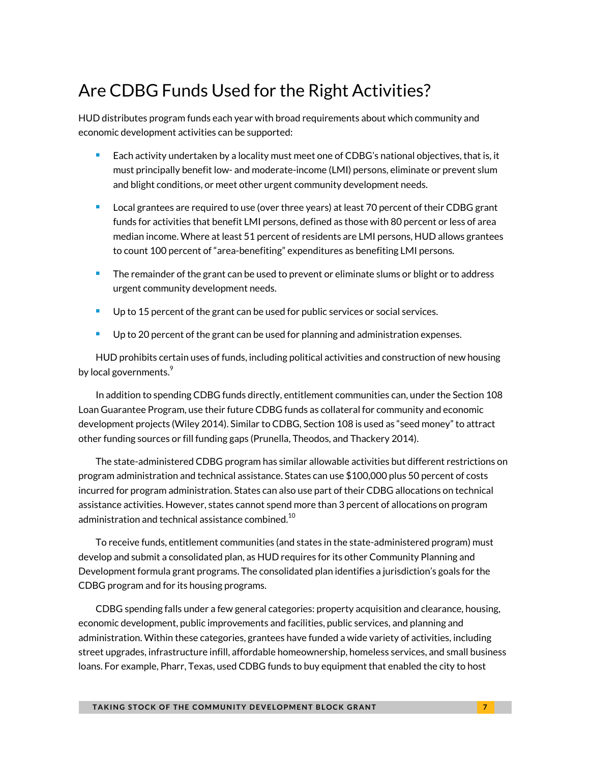### Are CDBG Funds Used for the Right Activities?

HUD distributes program funds each year with broad requirements about which community and economic development activities can be supported:

- Each activity undertaken by a locality must meet one of CDBG's national objectives, that is, it must principally benefit low- and moderate-income (LMI) persons, eliminate or prevent slum and blight conditions, or meet other urgent community development needs.
- **Local grantees are required to use (over three years) at least 70 percent of their CDBG grant** funds for activities that benefit LMI persons, defined as those with 80 percent or less of area median income. Where at least 51 percent of residents are LMI persons, HUD allows grantees to count 100 percent of "area-benefiting" expenditures as benefiting LMI persons.
- The remainder of the grant can be used to prevent or eliminate slums or blight or to address urgent community development needs.
- **Up to 15 percent of the grant can be used for public services or social services.**
- Up to 20 percent of the grant can be used for planning and administration expenses.

HUD prohibits certain uses of funds, including political activities and construction of new housing by local governments. $^9$  $^9$ 

In addition to spending CDBG funds directly, entitlement communities can, under the Section 108 Loan Guarantee Program, use their future CDBG funds as collateral for community and economic development projects (Wiley 2014). Similar to CDBG, Section 108 is used as "seed money" to attract other funding sources or fill funding gaps (Prunella, Theodos, and Thackery 2014).

The state-administered CDBG program has similar allowable activities but different restrictions on program administration and technical assistance. States can use \$100,000 plus 50 percent of costs incurred for program administration. States can also use part of their CDBG allocations on technical assistance activities. However, states cannot spend more than 3 percent of allocations on program administration and technical assistance combined. $^{\rm 10}$  $^{\rm 10}$  $^{\rm 10}$ 

To receive funds, entitlement communities (and states in the state-administered program) must develop and submit a consolidated plan, as HUD requires for its other Community Planning and Development formula grant programs. The consolidated plan identifies a jurisdiction's goals for the CDBG program and for its housing programs.

CDBG spending falls under a few general categories: property acquisition and clearance, housing, economic development, public improvements and facilities, public services, and planning and administration. Within these categories, grantees have funded a wide variety of activities, including street upgrades, infrastructure infill, affordable homeownership, homeless services, and small business loans. For example, Pharr, Texas, used CDBG funds to buy equipment that enabled the city to host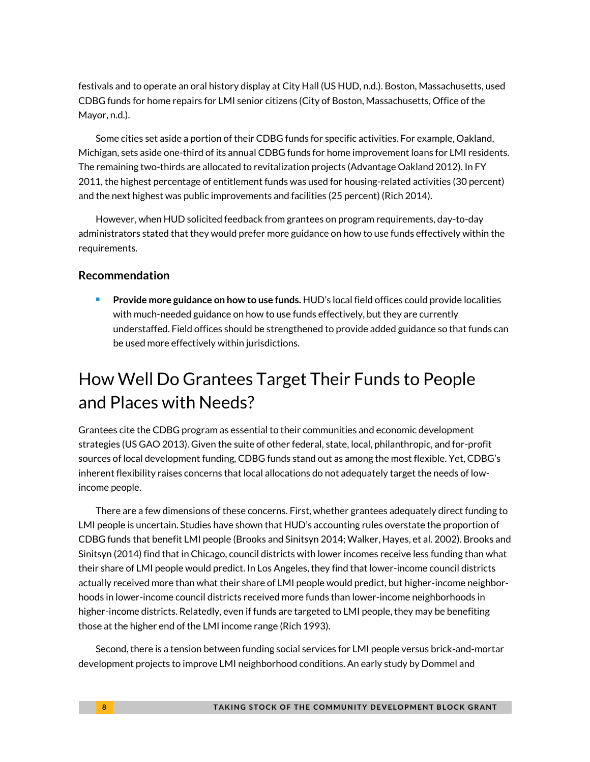festivals and to operate an oral history display at City Hall (US HUD, n.d.). Boston, Massachusetts, used CDBG funds for home repairs for LMI senior citizens (City of Boston, Massachusetts, Office of the Mayor, n.d.).

Some cities set aside a portion of their CDBG funds for specific activities. For example, Oakland, Michigan, sets aside one-third of its annual CDBG funds for home improvement loans for LMI residents. The remaining two-thirds are allocated to revitalization projects (Advantage Oakland 2012). In FY 2011, the highest percentage of entitlement funds was used for housing-related activities (30 percent) and the next highest was public improvements and facilities (25 percent) (Rich 2014).

However, when HUD solicited feedback from grantees on program requirements, day-to-day administrators stated that they would prefer more guidance on how to use funds effectively within the requirements.

#### **Recommendation**

 **Provide more guidance on how to use funds.** HUD's local field offices could provide localities with much-needed guidance on how to use funds effectively, but they are currently understaffed. Field offices should be strengthened to provide added guidance so that funds can be used more effectively within jurisdictions.

### How Well Do Grantees Target Their Funds to People and Places with Needs?

Grantees cite the CDBG program as essential to their communities and economic development strategies (US GAO 2013). Given the suite of other federal, state, local, philanthropic, and for-profit sources of local development funding, CDBG funds stand out as among the most flexible. Yet, CDBG's inherent flexibility raises concerns that local allocations do not adequately target the needs of lowincome people.

There are a few dimensions of these concerns. First, whether grantees adequately direct funding to LMI people is uncertain. Studies have shown that HUD's accounting rules overstate the proportion of CDBG funds that benefit LMI people (Brooks and Sinitsyn 2014; Walker, Hayes, et al. 2002). Brooks and Sinitsyn (2014) find that in Chicago, council districts with lower incomes receive less funding than what their share of LMI people would predict. In Los Angeles, they find that lower-income council districts actually received more than what their share of LMI people would predict, but higher-income neighborhoods in lower-income council districts received more funds than lower-income neighborhoods in higher-income districts. Relatedly, even if funds are targeted to LMI people, they may be benefiting those at the higher end of the LMI income range (Rich 1993).

Second, there is a tension between funding social services for LMI people versus brick-and-mortar development projects to improve LMI neighborhood conditions. An early study by Dommel and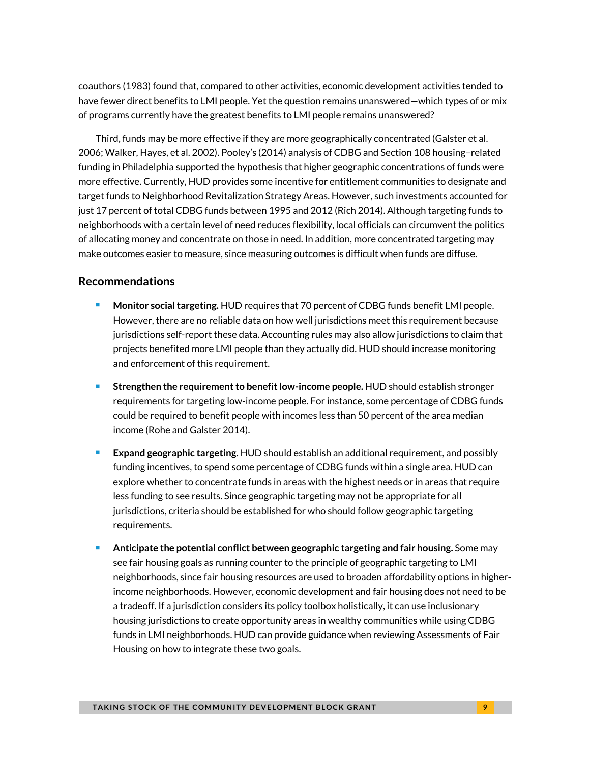coauthors (1983) found that, compared to other activities, economic development activities tended to have fewer direct benefits to LMI people. Yet the question remains unanswered—which types of or mix of programs currently have the greatest benefits to LMI people remains unanswered?

Third, funds may be more effective if they are more geographically concentrated (Galster et al. 2006; Walker, Hayes, et al. 2002). Pooley's (2014) analysis of CDBG and Section 108 housing–related funding in Philadelphia supported the hypothesis that higher geographic concentrations of funds were more effective. Currently, HUD provides some incentive for entitlement communities to designate and target funds to Neighborhood Revitalization Strategy Areas. However, such investments accounted for just 17 percent of total CDBG funds between 1995 and 2012 (Rich 2014). Although targeting funds to neighborhoods with a certain level of need reduces flexibility, local officials can circumvent the politics of allocating money and concentrate on those in need. In addition, more concentrated targeting may make outcomes easier to measure, since measuring outcomes is difficult when funds are diffuse.

#### **Recommendations**

- **Monitor social targeting.** HUD requires that 70 percent of CDBG funds benefit LMI people. However, there are no reliable data on how well jurisdictions meet this requirement because jurisdictions self-report these data. Accounting rules may also allow jurisdictions to claim that projects benefited more LMI people than they actually did. HUD should increase monitoring and enforcement of this requirement.
- **Strengthen the requirement to benefit low-income people.** HUD should establish stronger requirements for targeting low-income people. For instance, some percentage of CDBG funds could be required to benefit people with incomes less than 50 percent of the area median income (Rohe and Galster 2014).
- **Expand geographic targeting.** HUD should establish an additional requirement, and possibly funding incentives, to spend some percentage of CDBG funds within a single area. HUD can explore whether to concentrate funds in areas with the highest needs or in areas that require less funding to see results. Since geographic targeting may not be appropriate for all jurisdictions, criteria should be established for who should follow geographic targeting requirements.
- **Anticipate the potential conflict between geographic targeting and fair housing.** Some may see fair housing goals as running counter to the principle of geographic targeting to LMI neighborhoods, since fair housing resources are used to broaden affordability options in higherincome neighborhoods. However, economic development and fair housing does not need to be a tradeoff. If a jurisdiction considers its policy toolbox holistically, it can use inclusionary housing jurisdictions to create opportunity areas in wealthy communities while using CDBG funds in LMI neighborhoods. HUD can provide guidance when reviewing Assessments of Fair Housing on how to integrate these two goals.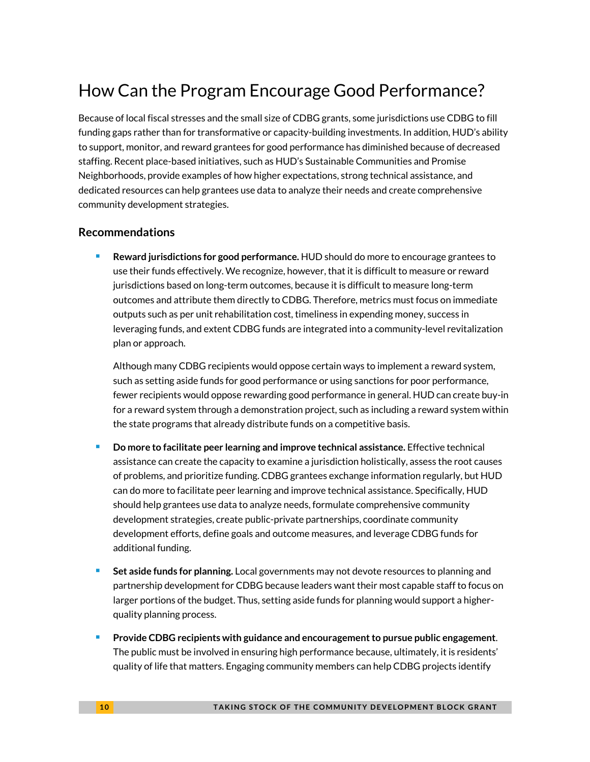# How Can the Program Encourage Good Performance?

Because of local fiscal stresses and the small size of CDBG grants, some jurisdictions use CDBG to fill funding gaps rather than for transformative or capacity-building investments. In addition, HUD's ability to support, monitor, and reward grantees for good performance has diminished because of decreased staffing. Recent place-based initiatives, such as HUD's Sustainable Communities and Promise Neighborhoods, provide examples of how higher expectations, strong technical assistance, and dedicated resources can help grantees use data to analyze their needs and create comprehensive community development strategies.

### **Recommendations**

 **Reward jurisdictions for good performance.** HUD should do more to encourage grantees to use their funds effectively. We recognize, however, that it is difficult to measure or reward jurisdictions based on long-term outcomes, because it is difficult to measure long-term outcomes and attribute them directly to CDBG. Therefore, metrics must focus on immediate outputs such as per unit rehabilitation cost, timeliness in expending money, success in leveraging funds, and extent CDBG funds are integrated into a community-level revitalization plan or approach.

Although many CDBG recipients would oppose certain ways to implement a reward system, such as setting aside funds for good performance or using sanctions for poor performance, fewer recipients would oppose rewarding good performance in general. HUD can create buy-in for a reward system through a demonstration project, such as including a reward system within the state programs that already distribute funds on a competitive basis.

- **Do more to facilitate peer learning and improve technical assistance.** Effective technical assistance can create the capacity to examine a jurisdiction holistically, assess the root causes of problems, and prioritize funding. CDBG grantees exchange information regularly, but HUD can do more to facilitate peer learning and improve technical assistance. Specifically, HUD should help grantees use data to analyze needs, formulate comprehensive community development strategies, create public-private partnerships, coordinate community development efforts, define goals and outcome measures, and leverage CDBG funds for additional funding.
- **Set aside funds for planning.** Local governments may not devote resources to planning and partnership development for CDBG because leaders want their most capable staff to focus on larger portions of the budget. Thus, setting aside funds for planning would support a higherquality planning process.
- **Provide CDBG recipients with guidance and encouragement to pursue public engagement**. The public must be involved in ensuring high performance because, ultimately, it is residents' quality of life that matters. Engaging community members can help CDBG projects identify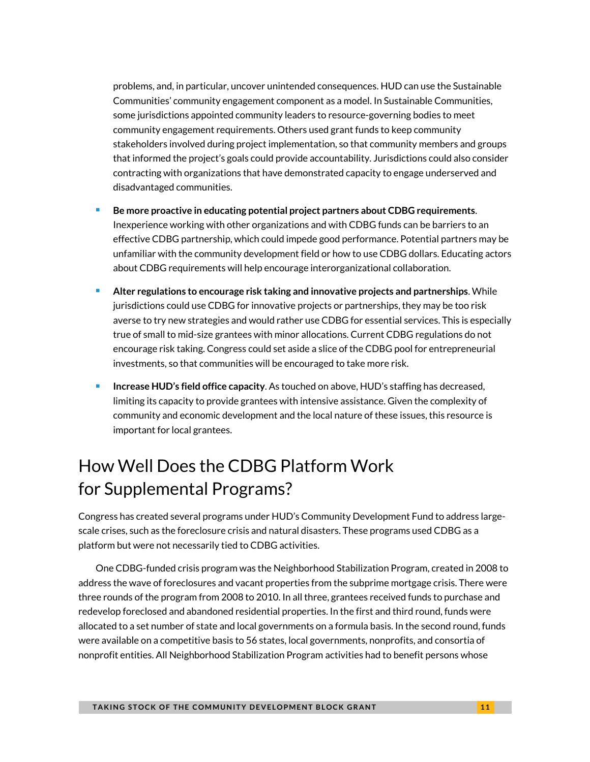problems, and, in particular, uncover unintended consequences. HUD can use the Sustainable Communities' community engagement component as a model. In Sustainable Communities, some jurisdictions appointed community leaders to resource-governing bodies to meet community engagement requirements. Others used grant funds to keep community stakeholders involved during project implementation, so that community members and groups that informed the project's goals could provide accountability. Jurisdictions could also consider contracting with organizations that have demonstrated capacity to engage underserved and disadvantaged communities.

- **Be more proactive in educating potential project partners about CDBG requirements**. Inexperience working with other organizations and with CDBG funds can be barriers to an effective CDBG partnership, which could impede good performance. Potential partners may be unfamiliar with the community development field or how to use CDBG dollars. Educating actors about CDBG requirements will help encourage interorganizational collaboration.
- **Alter regulations to encourage risk taking and innovative projects and partnerships**. While jurisdictions could use CDBG for innovative projects or partnerships, they may be too risk averse to try new strategies and would rather use CDBG for essential services. This is especially true of small to mid-size grantees with minor allocations. Current CDBG regulations do not encourage risk taking. Congress could set aside a slice of the CDBG pool for entrepreneurial investments, so that communities will be encouraged to take more risk.
- **Increase HUD's field office capacity**. As touched on above, HUD's staffing has decreased, limiting its capacity to provide grantees with intensive assistance. Given the complexity of community and economic development and the local nature of these issues, this resource is important for local grantees.

# How Well Does the CDBG Platform Work for Supplemental Programs?

Congress has created several programs under HUD's Community Development Fund to address largescale crises, such as the foreclosure crisis and natural disasters. These programs used CDBG as a platform but were not necessarily tied to CDBG activities.

One CDBG-funded crisis program was the Neighborhood Stabilization Program, created in 2008 to address the wave of foreclosures and vacant properties from the subprime mortgage crisis. There were three rounds of the program from 2008 to 2010. In all three, grantees received funds to purchase and redevelop foreclosed and abandoned residential properties. In the first and third round, funds were allocated to a set number of state and local governments on a formula basis. In the second round, funds were available on a competitive basis to 56 states, local governments, nonprofits, and consortia of nonprofit entities. All Neighborhood Stabilization Program activities had to benefit persons whose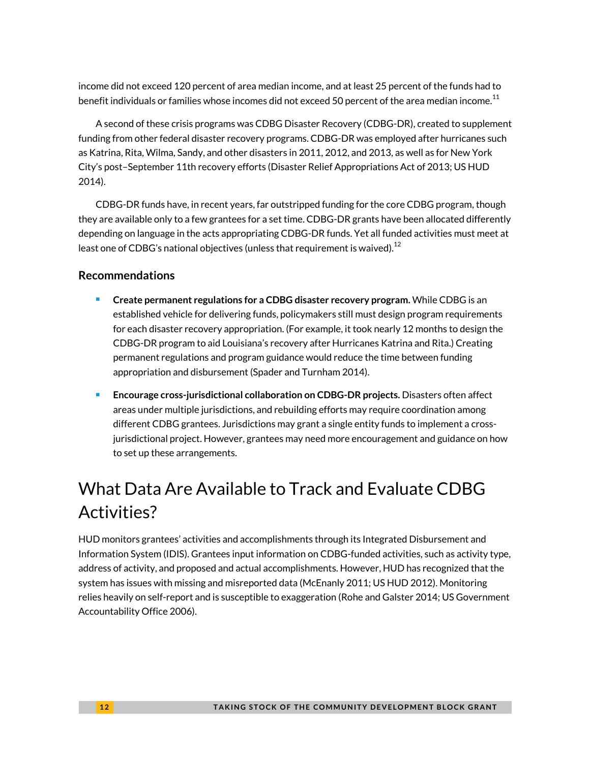income did not exceed 120 percent of area median income, and at least 25 percent of the funds had to benefit individuals or families whose incomes did not exceed 50 percent of the area median income. $^{\rm 11}$  $^{\rm 11}$  $^{\rm 11}$ 

A second of these crisis programs was CDBG Disaster Recovery (CDBG-DR), created to supplement funding from other federal disaster recovery programs. CDBG-DR was employed after hurricanes such as Katrina, Rita, Wilma, Sandy, and other disasters in 2011, 2012, and 2013, as well as for New York City's post–September 11th recovery efforts (Disaster Relief Appropriations Act of 2013; US HUD 2014).

CDBG-DR funds have, in recent years, far outstripped funding for the core CDBG program, though they are available only to a few grantees for a set time. CDBG-DR grants have been allocated differently depending on language in the acts appropriating CDBG-DR funds. Yet all funded activities must meet at least one of CDBG's national objectives (unless that requirement is waived). $^{12}$  $^{12}$  $^{12}$ 

### **Recommendations**

- **Create permanent regulations for a CDBG disaster recovery program.** While CDBG is an established vehicle for delivering funds, policymakers still must design program requirements for each disaster recovery appropriation. (For example, it took nearly 12 months to design the CDBG-DR program to aid Louisiana's recovery after Hurricanes Katrina and Rita.) Creating permanent regulations and program guidance would reduce the time between funding appropriation and disbursement (Spader and Turnham 2014).
- **Encourage cross-jurisdictional collaboration on CDBG-DR projects.** Disasters often affect areas under multiple jurisdictions, and rebuilding efforts may require coordination among different CDBG grantees. Jurisdictions may grant a single entity funds to implement a crossjurisdictional project. However, grantees may need more encouragement and guidance on how to set up these arrangements.

# What Data Are Available to Track and Evaluate CDBG Activities?

HUD monitors grantees' activities and accomplishments through its Integrated Disbursement and Information System (IDIS). Grantees input information on CDBG-funded activities, such as activity type, address of activity, and proposed and actual accomplishments. However, HUD has recognized that the system has issues with missing and misreported data (McEnanly 2011; US HUD 2012). Monitoring relies heavily on self-report and is susceptible to exaggeration (Rohe and Galster 2014; US Government Accountability Office 2006).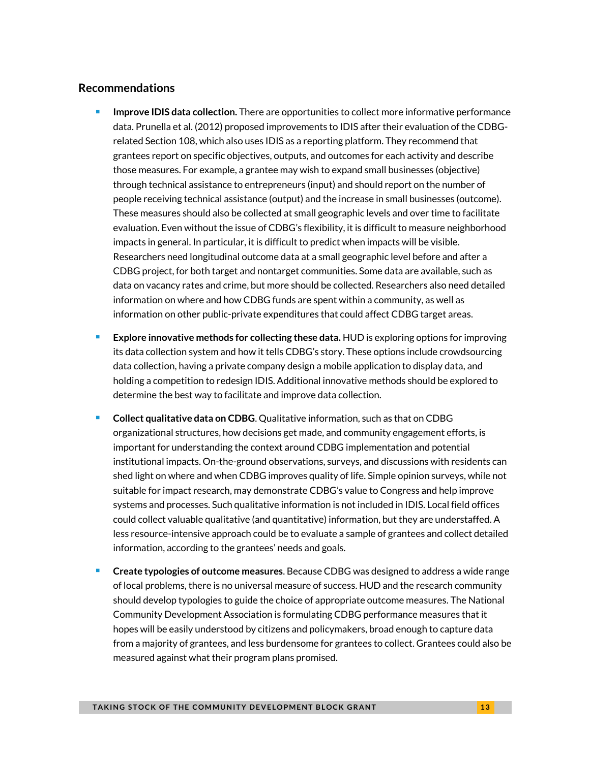#### **Recommendations**

- **Improve IDIS data collection.** There are opportunities to collect more informative performance data. Prunella et al. (2012) proposed improvements to IDIS after their evaluation of the CDBGrelated Section 108, which also uses IDIS as a reporting platform. They recommend that grantees report on specific objectives, outputs, and outcomes for each activity and describe those measures. For example, a grantee may wish to expand small businesses (objective) through technical assistance to entrepreneurs (input) and should report on the number of people receiving technical assistance (output) and the increase in small businesses (outcome). These measures should also be collected at small geographic levels and over time to facilitate evaluation. Even without the issue of CDBG's flexibility, it is difficult to measure neighborhood impacts in general. In particular, it is difficult to predict when impacts will be visible. Researchers need longitudinal outcome data at a small geographic level before and after a CDBG project, for both target and nontarget communities. Some data are available, such as data on vacancy rates and crime, but more should be collected. Researchers also need detailed information on where and how CDBG funds are spent within a community, as well as information on other public-private expenditures that could affect CDBG target areas.
- **Explore innovative methods for collecting these data.** HUD is exploring options for improving its data collection system and how it tells CDBG's story. These options include crowdsourcing data collection, having a private company design a mobile application to display data, and holding a competition to redesign IDIS. Additional innovative methods should be explored to determine the best way to facilitate and improve data collection.
- **Collect qualitative data on CDBG**. Qualitative information, such as that on CDBG organizational structures, how decisions get made, and community engagement efforts, is important for understanding the context around CDBG implementation and potential institutional impacts. On-the-ground observations, surveys, and discussions with residents can shed light on where and when CDBG improves quality of life. Simple opinion surveys, while not suitable for impact research, may demonstrate CDBG's value to Congress and help improve systems and processes. Such qualitative information is not included in IDIS. Local field offices could collect valuable qualitative (and quantitative) information, but they are understaffed. A less resource-intensive approach could be to evaluate a sample of grantees and collect detailed information, according to the grantees' needs and goals.
- **Create typologies of outcome measures**. Because CDBG was designed to address a wide range of local problems, there is no universal measure of success. HUD and the research community should develop typologies to guide the choice of appropriate outcome measures. The National Community Development Association is formulating CDBG performance measures that it hopes will be easily understood by citizens and policymakers, broad enough to capture data from a majority of grantees, and less burdensome for grantees to collect. Grantees could also be measured against what their program plans promised.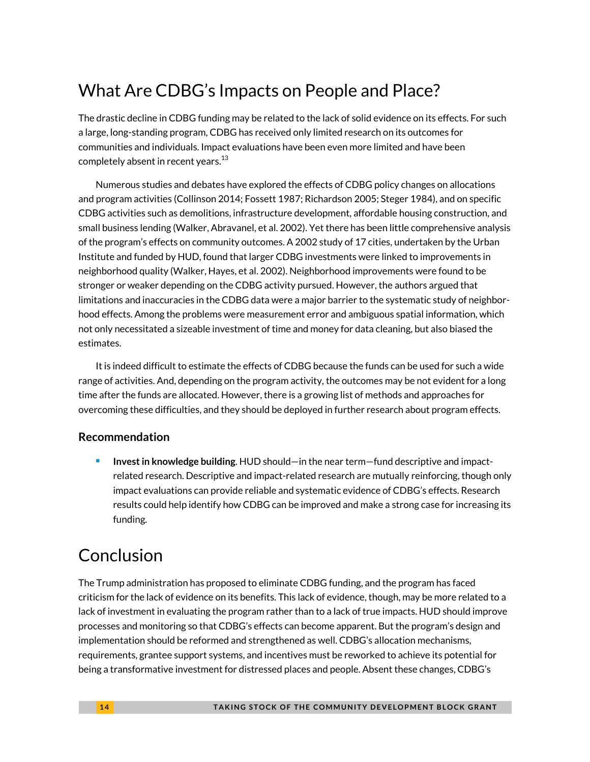# What Are CDBG's Impacts on People and Place?

The drastic decline in CDBG funding may be related to the lack of solid evidence on its effects. For such a large, long-standing program, CDBG has received only limited research on its outcomes for communities and individuals. Impact evaluations have been even more limited and have been completely absent in recent years. $^{13}$  $^{13}$  $^{13}$ 

Numerous studies and debates have explored the effects of CDBG policy changes on allocations and program activities (Collinson 2014; Fossett 1987; Richardson 2005; Steger 1984), and on specific CDBG activities such as demolitions, infrastructure development, affordable housing construction, and small business lending (Walker, Abravanel, et al. 2002). Yet there has been little comprehensive analysis of the program's effects on community outcomes. A 2002 study of 17 cities, undertaken by the Urban Institute and funded by HUD, found that larger CDBG investments were linked to improvements in neighborhood quality (Walker, Hayes, et al. 2002). Neighborhood improvements were found to be stronger or weaker depending on the CDBG activity pursued. However, the authors argued that limitations and inaccuracies in the CDBG data were a major barrier to the systematic study of neighborhood effects. Among the problems were measurement error and ambiguous spatial information, which not only necessitated a sizeable investment of time and money for data cleaning, but also biased the estimates.

It is indeed difficult to estimate the effects of CDBG because the funds can be used for such a wide range of activities. And, depending on the program activity, the outcomes may be not evident for a long time after the funds are allocated. However, there is a growing list of methods and approaches for overcoming these difficulties, and they should be deployed in further research about program effects.

### **Recommendation**

 **Invest in knowledge building**. HUD should—in the near term—fund descriptive and impactrelated research. Descriptive and impact-related research are mutually reinforcing, though only impact evaluations can provide reliable and systematic evidence of CDBG's effects. Research results could help identify how CDBG can be improved and make a strong case for increasing its funding.

# Conclusion

The Trump administration has proposed to eliminate CDBG funding, and the program has faced criticism for the lack of evidence on its benefits. This lack of evidence, though, may be more related to a lack of investment in evaluating the program rather than to a lack of true impacts. HUD should improve processes and monitoring so that CDBG's effects can become apparent. But the program's design and implementation should be reformed and strengthened as well. CDBG's allocation mechanisms, requirements, grantee support systems, and incentives must be reworked to achieve its potential for being a transformative investment for distressed places and people. Absent these changes, CDBG's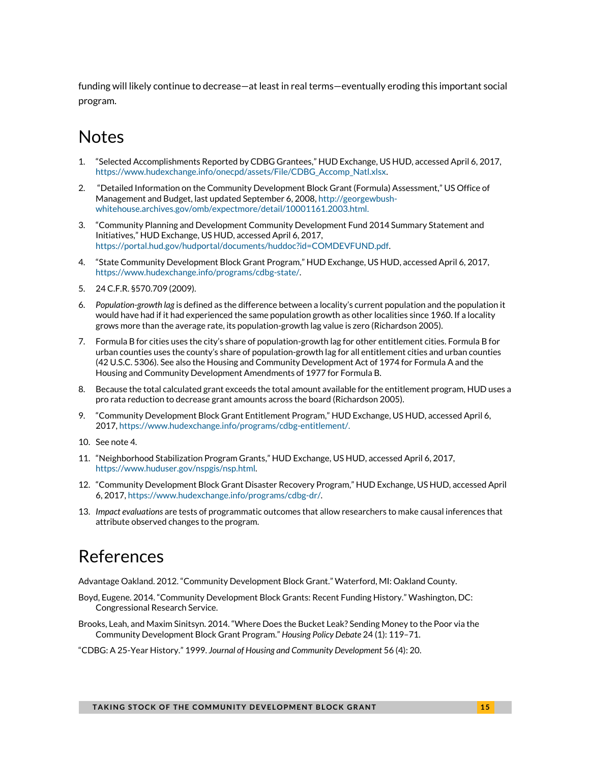funding will likely continue to decrease—at least in real terms—eventually eroding this important social program.

### Notes

- <span id="page-14-0"></span>1. "Selected Accomplishments Reported by CDBG Grantees," HUD Exchange, US HUD, accessed April 6, 2017, [https://www.hudexchange.info/onecpd/assets/File/CDBG\\_Accomp\\_Natl.xlsx.](https://www.hudexchange.info/onecpd/assets/File/CDBG_Accomp_Natl.xlsx)
- <span id="page-14-1"></span>2. "Detailed Information on the Community Development Block Grant (Formula) Assessment," US Office of Management and Budget, last updated September 6, 2008, [http://georgewbush](http://georgewbush-whitehouse.archives.gov/omb/expectmore/detail/10001161.2003.html)[whitehouse.archives.gov/omb/expectmore/detail/10001161.2003.html.](http://georgewbush-whitehouse.archives.gov/omb/expectmore/detail/10001161.2003.html)
- <span id="page-14-2"></span>3. "Community Planning and Development Community Development Fund 2014 Summary Statement and Initiatives," HUD Exchange, US HUD, accessed April 6, 2017, [https://portal.hud.gov/hudportal/documents/huddoc?id=COMDEVFUND.pdf.](https://portal.hud.gov/hudportal/documents/huddoc?id=COMDEVFUND.pdf)
- <span id="page-14-3"></span>4. "State Community Development Block Grant Program," HUD Exchange, US HUD, accessed April 6, 2017, [https://www.hudexchange.info/programs/cdbg-state/.](https://www.hudexchange.info/programs/cdbg-state/)
- <span id="page-14-4"></span>5. 24 C.F.R. §570.709 (2009).
- <span id="page-14-5"></span>6. *Population-growth lag* is defined as the difference between a locality's current population and the population it would have had if it had experienced the same population growth as other localities since 1960. If a locality grows more than the average rate, its population-growth lag value is zero (Richardson 2005).
- <span id="page-14-6"></span>7. Formula B for cities uses the city's share of population-growth lag for other entitlement cities. Formula B for urban counties uses the county's share of population-growth lag for all entitlement cities and urban counties (42 U.S.C. 5306). See also the Housing and Community Development Act of 1974 for Formula A and the Housing and Community Development Amendments of 1977 for Formula B.
- <span id="page-14-7"></span>8. Because the total calculated grant exceeds the total amount available for the entitlement program, HUD uses a pro rata reduction to decrease grant amounts across the board (Richardson 2005).
- <span id="page-14-8"></span>9. "Community Development Block Grant Entitlement Program," HUD Exchange, US HUD, accessed April 6, 2017[, https://www.hudexchange.info/programs/cdbg-entitlement/.](https://www.hudexchange.info/programs/cdbg-entitlement/)
- <span id="page-14-9"></span>10. See note 4.
- <span id="page-14-10"></span>11. "Neighborhood Stabilization Program Grants," HUD Exchange, US HUD, accessed April 6, 2017, [https://www.huduser.gov/nspgis/nsp.html.](https://www.huduser.gov/nspgis/nsp.html)
- <span id="page-14-11"></span>12. "Community Development Block Grant Disaster Recovery Program," HUD Exchange, US HUD, accessed April 6, 2017[, https://www.hudexchange.info/programs/cdbg-dr/.](https://www.hudexchange.info/programs/cdbg-dr/)
- <span id="page-14-12"></span>13. *Impact evaluations* are tests of programmatic outcomes that allow researchers to make causal inferences that attribute observed changes to the program.

### References

Advantage Oakland. 2012. "Community Development Block Grant." Waterford, MI: Oakland County.

- Boyd, Eugene. 2014. "Community Development Block Grants: Recent Funding History." Washington, DC: Congressional Research Service.
- Brooks, Leah, and Maxim Sinitsyn. 2014. "Where Does the Bucket Leak? Sending Money to the Poor via the Community Development Block Grant Program." *Housing Policy Debate* 24 (1): 119–71.
- "CDBG: A 25-Year History." 1999. *Journal of Housing and Community Development* 56 (4): 20.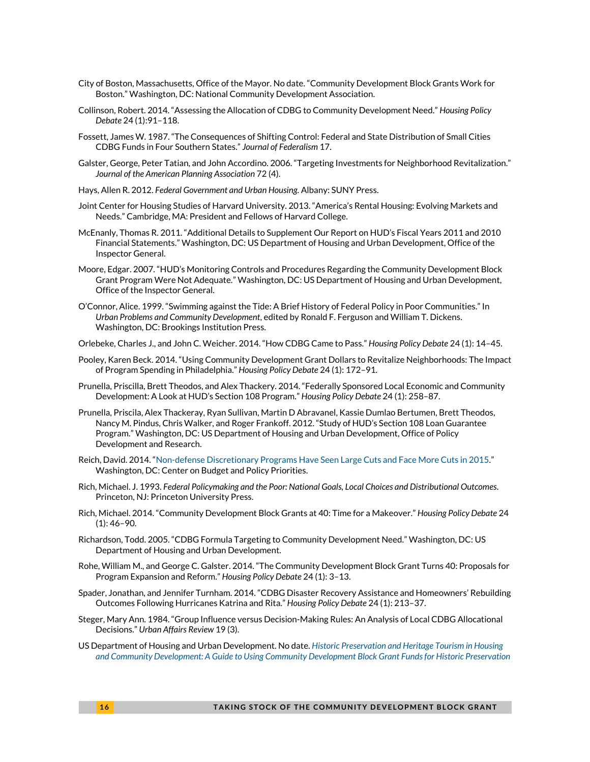- City of Boston, Massachusetts, Office of the Mayor. No date. "Community Development Block Grants Work for Boston." Washington, DC: National Community Development Association.
- Collinson, Robert. 2014. "Assessing the Allocation of CDBG to Community Development Need." *Housing Policy Debate* 24 (1):91–118.
- Fossett, James W. 1987. "The Consequences of Shifting Control: Federal and State Distribution of Small Cities CDBG Funds in Four Southern States." *Journal of Federalism* 17.
- Galster, George, Peter Tatian, and John Accordino. 2006. "Targeting Investments for Neighborhood Revitalization." *Journal of the American Planning Association* 72 (4).
- Hays, Allen R. 2012. *Federal Government and Urban Housing.* Albany: SUNY Press.
- Joint Center for Housing Studies of Harvard University. 2013. "America's Rental Housing: Evolving Markets and Needs." Cambridge, MA: President and Fellows of Harvard College.
- McEnanly, Thomas R. 2011. "Additional Details to Supplement Our Report on HUD's Fiscal Years 2011 and 2010 Financial Statements." Washington, DC: US Department of Housing and Urban Development, Office of the Inspector General.
- Moore, Edgar. 2007. "HUD's Monitoring Controls and Procedures Regarding the Community Development Block Grant Program Were Not Adequate." Washington, DC: US Department of Housing and Urban Development, Office of the Inspector General.
- O'Connor, Alice. 1999. "Swimming against the Tide: A Brief History of Federal Policy in Poor Communities." In *Urban Problems and Community Development*, edited by Ronald F. Ferguson and William T. Dickens. Washington, DC: Brookings Institution Press.
- Orlebeke, Charles J., and John C. Weicher. 2014. "How CDBG Came to Pass." *Housing Policy Debate* 24 (1): 14–45.
- Pooley, Karen Beck. 2014. "Using Community Development Grant Dollars to Revitalize Neighborhoods: The Impact of Program Spending in Philadelphia." *Housing Policy Debate* 24 (1): 172–91.
- Prunella, Priscilla, Brett Theodos, and Alex Thackery. 2014. "Federally Sponsored Local Economic and Community Development: A Look at HUD's Section 108 Program." *Housing Policy Debate* 24 (1): 258–87.
- Prunella, Priscila, Alex Thackeray, Ryan Sullivan, Martin D Abravanel, Kassie Dumlao Bertumen, Brett Theodos, Nancy M. Pindus, Chris Walker, and Roger Frankoff. 2012. "Study of HUD's Section 108 Loan Guarantee Program." Washington, DC: US Department of Housing and Urban Development, Office of Policy Development and Research.
- Reich, David. 2014. "[Non-defense Discretionary Programs Have Seen Large Cuts and Face More Cuts in 2015](http://www.cbpp.org/research/non-defense-discretionary-programs-have-seen-large-cuts-and-face-more-cuts-in-2015?fa=view&id=4232)." Washington, DC: Center on Budget and Policy Priorities.
- Rich, Michael. J. 1993. *Federal Policymaking and the Poor: National Goals, Local Choices and Distributional Outcomes*. Princeton, NJ: Princeton University Press.
- Rich, Michael. 2014. "Community Development Block Grants at 40: Time for a Makeover." *Housing Policy Debate* 24 (1): 46–90.
- Richardson, Todd. 2005. "CDBG Formula Targeting to Community Development Need." Washington, DC: US Department of Housing and Urban Development.
- Rohe, William M., and George C. Galster. 2014. "The Community Development Block Grant Turns 40: Proposals for Program Expansion and Reform." *Housing Policy Debate* 24 (1): 3–13.
- Spader, Jonathan, and Jennifer Turnham. 2014. "CDBG Disaster Recovery Assistance and Homeowners' Rebuilding Outcomes Following Hurricanes Katrina and Rita." *Housing Policy Debate* 24 (1): 213–37.
- Steger, Mary Ann. 1984. "Group Influence versus Decision-Making Rules: An Analysis of Local CDBG Allocational Decisions." *Urban Affairs Review* 19 (3).
- US Department of Housing and Urban Development. No date. *[Historic Preservation and Heritage Tourism in Housing](http://portal.hud.gov/hudportal/documents/huddoc?id=DOC_14211.pdf)  [and Community Development: A Guide to Using Community Development Block Grant Funds for Historic Preservation](http://portal.hud.gov/hudportal/documents/huddoc?id=DOC_14211.pdf)*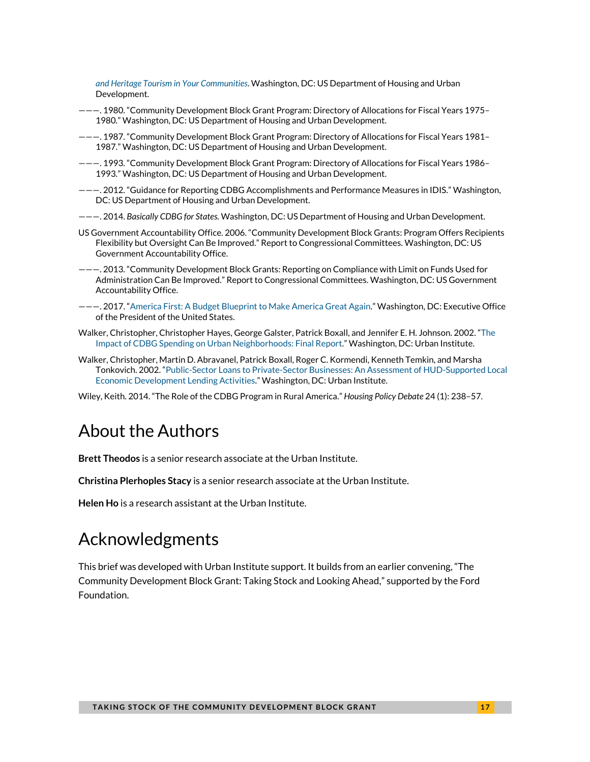*[and Heritage Tourism in Your Communities](http://portal.hud.gov/hudportal/documents/huddoc?id=DOC_14211.pdf)*. Washington, DC: US Department of Housing and Urban Development.

- ———. 1980. "Community Development Block Grant Program: Directory of Allocations for Fiscal Years 1975– 1980." Washington, DC: US Department of Housing and Urban Development.
- ———. 1987. "Community Development Block Grant Program: Directory of Allocations for Fiscal Years 1981– 1987." Washington, DC: US Department of Housing and Urban Development.
- ———. 1993. "Community Development Block Grant Program: Directory of Allocations for Fiscal Years 1986– 1993." Washington, DC: US Department of Housing and Urban Development.
- ———. 2012. "Guidance for Reporting CDBG Accomplishments and Performance Measures in IDIS." Washington, DC: US Department of Housing and Urban Development.
- ———. 2014. *Basically CDBG for States.* Washington, DC: US Department of Housing and Urban Development.
- US Government Accountability Office. 2006. "Community Development Block Grants: Program Offers Recipients Flexibility but Oversight Can Be Improved." Report to Congressional Committees. Washington, DC: US Government Accountability Office.
- ———. 2013. "Community Development Block Grants: Reporting on Compliance with Limit on Funds Used for Administration Can Be Improved." Report to Congressional Committees. Washington, DC: US Government Accountability Office.
- ———. 2017. "[America First: A Budget Blueprint to Make America Great Again.](https://www.whitehouse.gov/sites/whitehouse.gov/files/omb/budget/fy2018/2018_blueprint.pdf)" Washington, DC: Executive Office of the President of the United States.
- Walker, Christopher, Christopher Hayes, George Galster, Patrick Boxall, and Jennifer E. H. Johnson. 2002. "[The](http://www.urban.org/research/publication/impact-cdbg-spending-urban-neighborhoods)  [Impact of CDBG Spending on Urban Neighborhoods: Final Report](http://www.urban.org/research/publication/impact-cdbg-spending-urban-neighborhoods)." Washington, DC: Urban Institute.
- Walker, Christopher, Martin D. Abravanel, Patrick Boxall, Roger C. Kormendi, Kenneth Temkin, and Marsha Tonkovich. 2002. "[Public-Sector Loans to Private-Sector Businesses: An Assessment of HUD-Supported Local](http://www.urban.org/research/publication/public-sector-loans-private-sector-businesses)  [Economic Development Lending Activities](http://www.urban.org/research/publication/public-sector-loans-private-sector-businesses)." Washington, DC: Urban Institute.

Wiley, Keith. 2014. "The Role of the CDBG Program in Rural America." *Housing Policy Debate* 24 (1): 238–57.

### About the Authors

**Brett Theodos** is a senior research associate at the Urban Institute.

**Christina Plerhoples Stacy** is a senior research associate at the Urban Institute.

**Helen Ho** is a research assistant at the Urban Institute.

### Acknowledgments

This brief was developed with Urban Institute support. It builds from an earlier convening, "The Community Development Block Grant: Taking Stock and Looking Ahead," supported by the Ford Foundation.